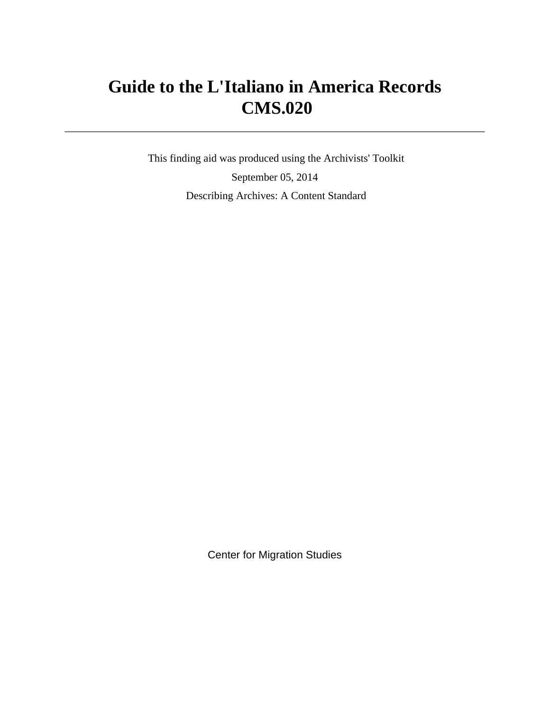# **Guide to the L'Italiano in America Records CMS.020**

 This finding aid was produced using the Archivists' Toolkit September 05, 2014 Describing Archives: A Content Standard

Center for Migration Studies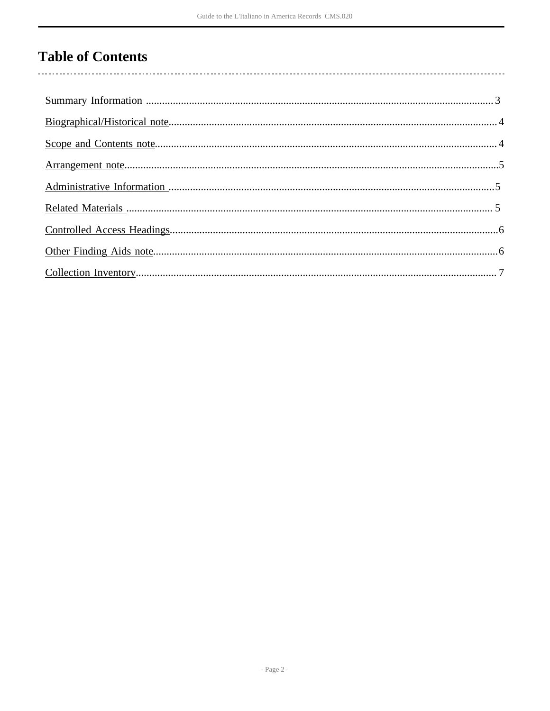## **Table of Contents**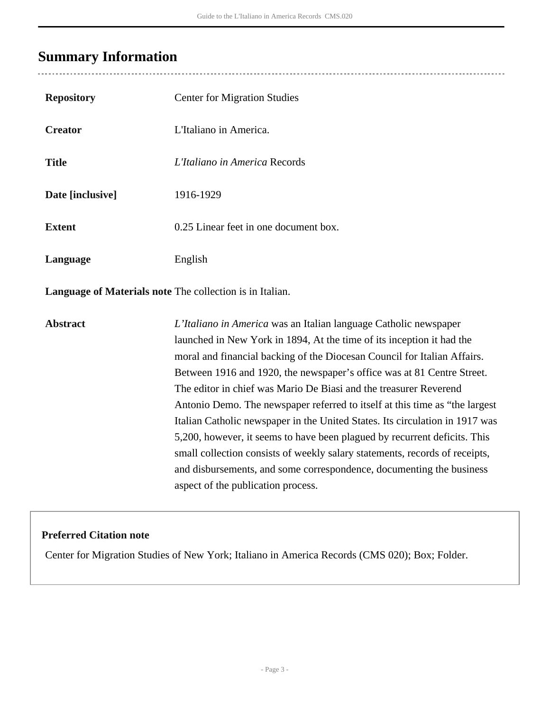### <span id="page-2-0"></span>**Summary Information**

| <b>Repository</b> | <b>Center for Migration Studies</b>   |
|-------------------|---------------------------------------|
| <b>Creator</b>    | L'Italiano in America.                |
| <b>Title</b>      | L'Italiano in America Records         |
| Date [inclusive]  | 1916-1929                             |
| <b>Extent</b>     | 0.25 Linear feet in one document box. |
| Language          | English                               |

**Language of Materials note** The collection is in Italian.

**Abstract** *L'Italiano in America* was an Italian language Catholic newspaper launched in New York in 1894, At the time of its inception it had the moral and financial backing of the Diocesan Council for Italian Affairs. Between 1916 and 1920, the newspaper's office was at 81 Centre Street. The editor in chief was Mario De Biasi and the treasurer Reverend Antonio Demo. The newspaper referred to itself at this time as "the largest Italian Catholic newspaper in the United States. Its circulation in 1917 was 5,200, however, it seems to have been plagued by recurrent deficits. This small collection consists of weekly salary statements, records of receipts, and disbursements, and some correspondence, documenting the business aspect of the publication process.

#### **Preferred Citation note**

Center for Migration Studies of New York; Italiano in America Records (CMS 020); Box; Folder.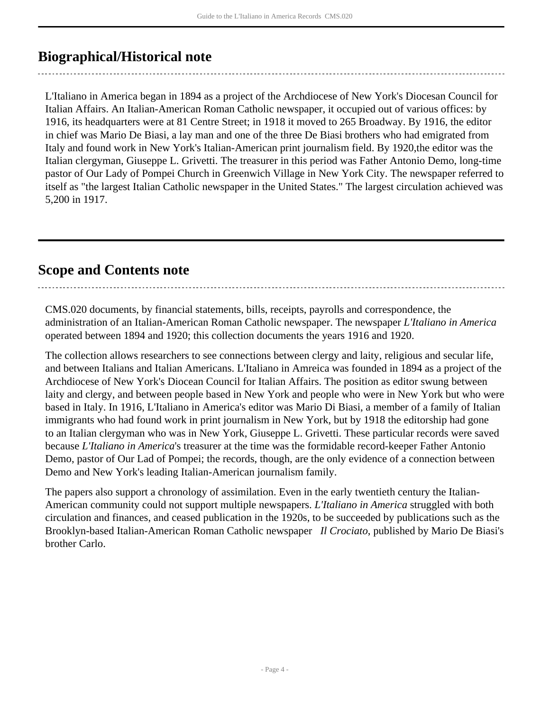### <span id="page-3-0"></span>**Biographical/Historical note**

L'Italiano in America began in 1894 as a project of the Archdiocese of New York's Diocesan Council for Italian Affairs. An Italian-American Roman Catholic newspaper, it occupied out of various offices: by 1916, its headquarters were at 81 Centre Street; in 1918 it moved to 265 Broadway. By 1916, the editor in chief was Mario De Biasi, a lay man and one of the three De Biasi brothers who had emigrated from Italy and found work in New York's Italian-American print journalism field. By 1920,the editor was the Italian clergyman, Giuseppe L. Grivetti. The treasurer in this period was Father Antonio Demo, long-time pastor of Our Lady of Pompei Church in Greenwich Village in New York City. The newspaper referred to itself as "the largest Italian Catholic newspaper in the United States." The largest circulation achieved was 5,200 in 1917.

### <span id="page-3-1"></span>**Scope and Contents note**

CMS.020 documents, by financial statements, bills, receipts, payrolls and correspondence, the administration of an Italian-American Roman Catholic newspaper. The newspaper *L'Italiano in America* operated between 1894 and 1920; this collection documents the years 1916 and 1920.

The collection allows researchers to see connections between clergy and laity, religious and secular life, and between Italians and Italian Americans. L'Italiano in Amreica was founded in 1894 as a project of the Archdiocese of New York's Diocean Council for Italian Affairs. The position as editor swung between laity and clergy, and between people based in New York and people who were in New York but who were based in Italy. In 1916, L'Italiano in America's editor was Mario Di Biasi, a member of a family of Italian immigrants who had found work in print journalism in New York, but by 1918 the editorship had gone to an Italian clergyman who was in New York, Giuseppe L. Grivetti. These particular records were saved because *L'Italiano in America*'s treasurer at the time was the formidable record-keeper Father Antonio Demo, pastor of Our Lad of Pompei; the records, though, are the only evidence of a connection between Demo and New York's leading Italian-American journalism family.

The papers also support a chronology of assimilation. Even in the early twentieth century the Italian-American community could not support multiple newspapers. *L'Italiano in America* struggled with both circulation and finances, and ceased publication in the 1920s, to be succeeded by publications such as the Brooklyn-based Italian-American Roman Catholic newspaper *Il Crociato*, published by Mario De Biasi's brother Carlo.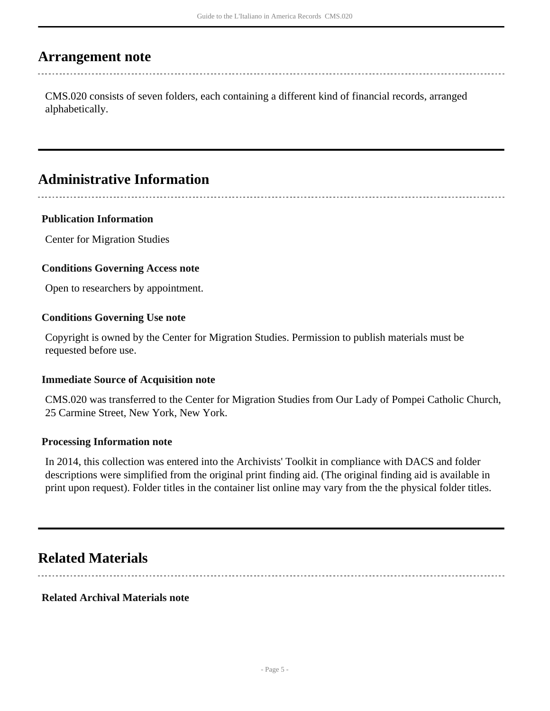### <span id="page-4-0"></span>**Arrangement note**

CMS.020 consists of seven folders, each containing a different kind of financial records, arranged alphabetically.

### <span id="page-4-1"></span>**Administrative Information**

#### **Publication Information**

Center for Migration Studies

#### **Conditions Governing Access note**

Open to researchers by appointment.

#### **Conditions Governing Use note**

Copyright is owned by the Center for Migration Studies. Permission to publish materials must be requested before use.

#### **Immediate Source of Acquisition note**

CMS.020 was transferred to the Center for Migration Studies from Our Lady of Pompei Catholic Church, 25 Carmine Street, New York, New York.

#### **Processing Information note**

In 2014, this collection was entered into the Archivists' Toolkit in compliance with DACS and folder descriptions were simplified from the original print finding aid. (The original finding aid is available in print upon request). Folder titles in the container list online may vary from the the physical folder titles.

### <span id="page-4-2"></span>**Related Materials**

#### **Related Archival Materials note**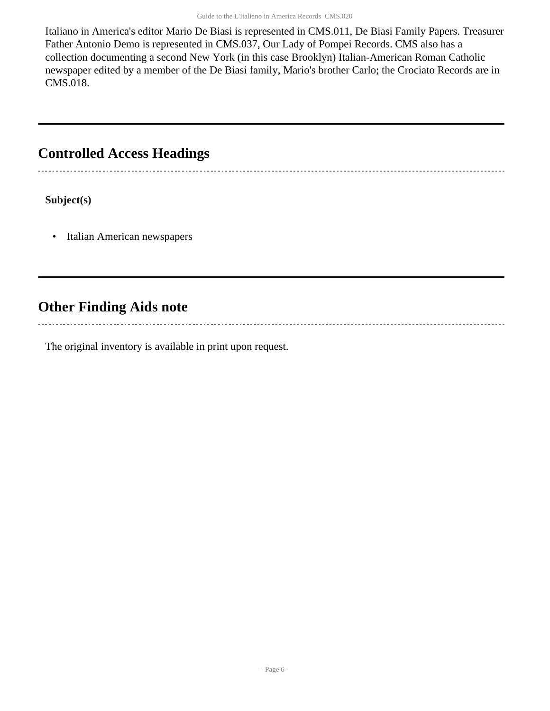Italiano in America's editor Mario De Biasi is represented in CMS.011, De Biasi Family Papers. Treasurer Father Antonio Demo is represented in CMS.037, Our Lady of Pompei Records. CMS also has a collection documenting a second New York (in this case Brooklyn) Italian-American Roman Catholic newspaper edited by a member of the De Biasi family, Mario's brother Carlo; the Crociato Records are in CMS.018.

### <span id="page-5-0"></span>**Controlled Access Headings**

**Subject(s)**

• Italian American newspapers

### <span id="page-5-1"></span>**Other Finding Aids note**

The original inventory is available in print upon request.